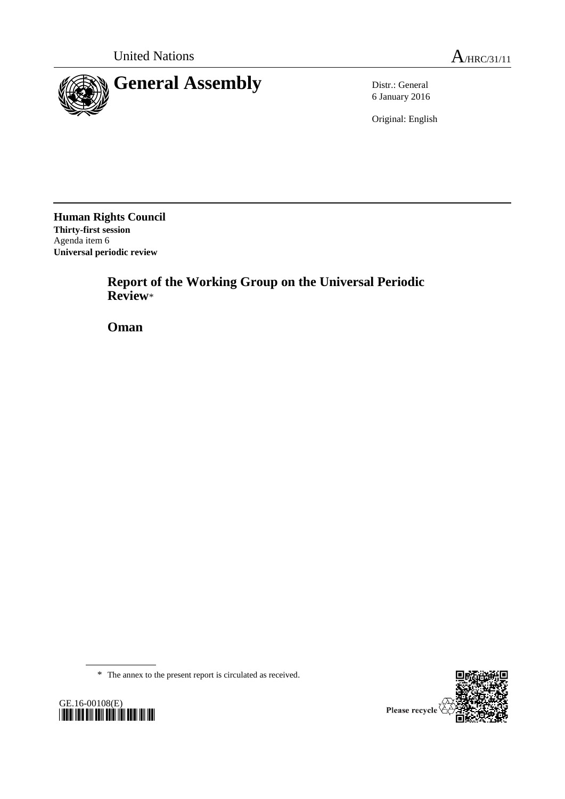

6 January 2016

Original: English

**Human Rights Council Thirty-first session** Agenda item 6 **Universal periodic review**

> **Report of the Working Group on the Universal Periodic Review**\*

**Oman**

\* The annex to the present report is circulated as received.



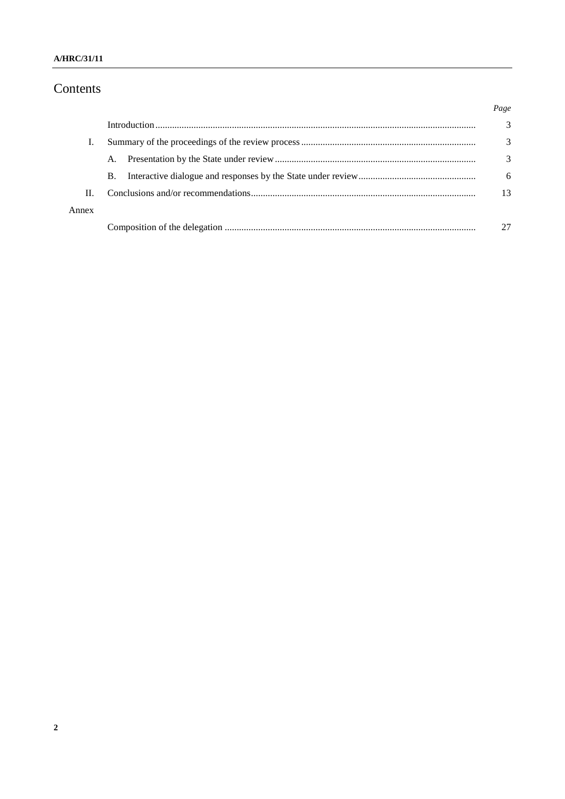### A/HRC/31/11

# Contents

|       |           | Page |
|-------|-----------|------|
|       |           | 3    |
|       |           | 3    |
|       | A.        | 3    |
|       | <b>B.</b> | 6    |
| Π.    |           | 13   |
| Annex |           |      |
|       |           |      |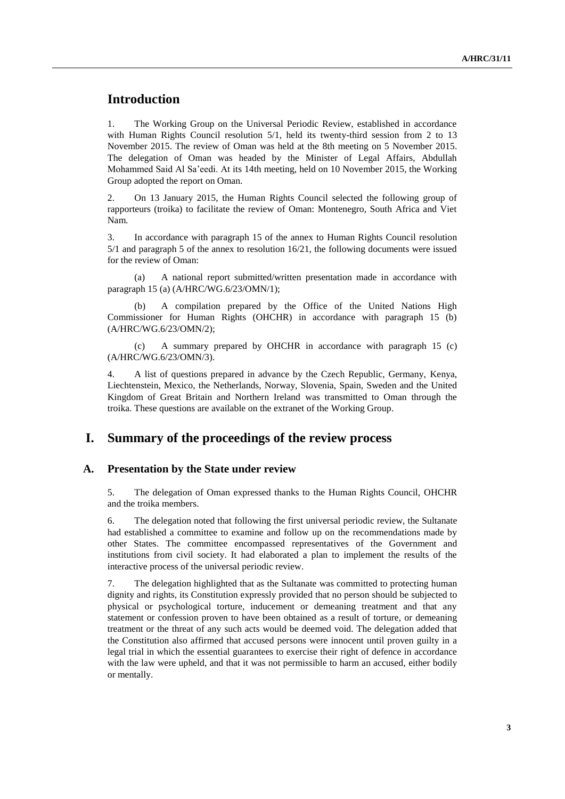## **Introduction**

1. The Working Group on the Universal Periodic Review, established in accordance with Human Rights Council resolution  $5/1$ , held its twenty-third session from 2 to 13 November 2015. The review of Oman was held at the 8th meeting on 5 November 2015. The delegation of Oman was headed by the Minister of Legal Affairs, Abdullah Mohammed Said Al Sa'eedi. At its 14th meeting, held on 10 November 2015, the Working Group adopted the report on Oman.

2. On 13 January 2015, the Human Rights Council selected the following group of rapporteurs (troika) to facilitate the review of Oman: Montenegro, South Africa and Viet Nam.

3. In accordance with paragraph 15 of the annex to Human Rights Council resolution 5/1 and paragraph 5 of the annex to resolution 16/21, the following documents were issued for the review of Oman:

(a) A national report submitted/written presentation made in accordance with paragraph 15 (a) (A/HRC/WG.6/23/OMN/1);

A compilation prepared by the Office of the United Nations High Commissioner for Human Rights (OHCHR) in accordance with paragraph 15 (b) (A/HRC/WG.6/23/OMN/2);

(c) A summary prepared by OHCHR in accordance with paragraph 15 (c) (A/HRC/WG.6/23/OMN/3).

4. A list of questions prepared in advance by the Czech Republic, Germany, Kenya, Liechtenstein, Mexico, the Netherlands, Norway, Slovenia, Spain, Sweden and the United Kingdom of Great Britain and Northern Ireland was transmitted to Oman through the troika. These questions are available on the extranet of the Working Group.

## **I. Summary of the proceedings of the review process**

#### **A. Presentation by the State under review**

5. The delegation of Oman expressed thanks to the Human Rights Council, OHCHR and the troika members.

6. The delegation noted that following the first universal periodic review, the Sultanate had established a committee to examine and follow up on the recommendations made by other States. The committee encompassed representatives of the Government and institutions from civil society. It had elaborated a plan to implement the results of the interactive process of the universal periodic review.

7. The delegation highlighted that as the Sultanate was committed to protecting human dignity and rights, its Constitution expressly provided that no person should be subjected to physical or psychological torture, inducement or demeaning treatment and that any statement or confession proven to have been obtained as a result of torture, or demeaning treatment or the threat of any such acts would be deemed void. The delegation added that the Constitution also affirmed that accused persons were innocent until proven guilty in a legal trial in which the essential guarantees to exercise their right of defence in accordance with the law were upheld, and that it was not permissible to harm an accused, either bodily or mentally.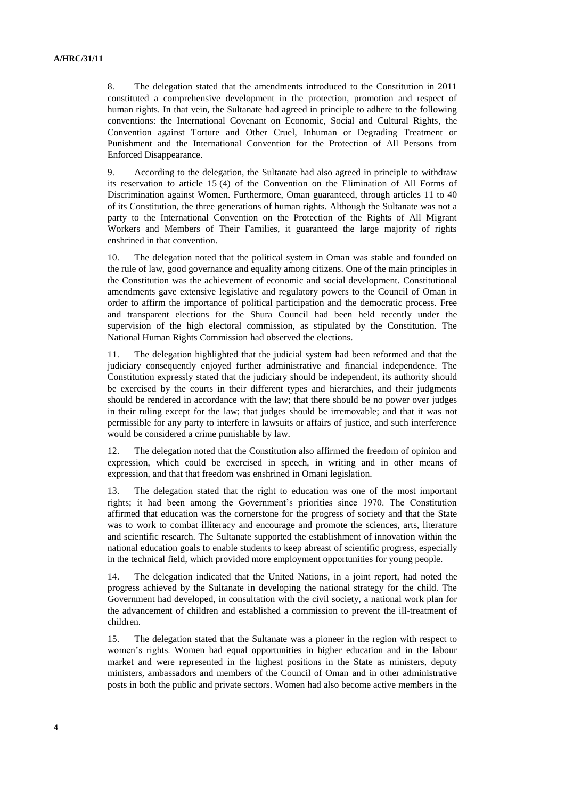8. The delegation stated that the amendments introduced to the Constitution in 2011 constituted a comprehensive development in the protection, promotion and respect of human rights. In that vein, the Sultanate had agreed in principle to adhere to the following conventions: the International Covenant on Economic, Social and Cultural Rights, the Convention against Torture and Other Cruel, Inhuman or Degrading Treatment or Punishment and the International Convention for the Protection of All Persons from Enforced Disappearance.

9. According to the delegation, the Sultanate had also agreed in principle to withdraw its reservation to article 15 (4) of the Convention on the Elimination of All Forms of Discrimination against Women. Furthermore, Oman guaranteed, through articles 11 to 40 of its Constitution, the three generations of human rights. Although the Sultanate was not a party to the International Convention on the Protection of the Rights of All Migrant Workers and Members of Their Families, it guaranteed the large majority of rights enshrined in that convention.

10. The delegation noted that the political system in Oman was stable and founded on the rule of law, good governance and equality among citizens. One of the main principles in the Constitution was the achievement of economic and social development. Constitutional amendments gave extensive legislative and regulatory powers to the Council of Oman in order to affirm the importance of political participation and the democratic process. Free and transparent elections for the Shura Council had been held recently under the supervision of the high electoral commission, as stipulated by the Constitution. The National Human Rights Commission had observed the elections.

11. The delegation highlighted that the judicial system had been reformed and that the judiciary consequently enjoyed further administrative and financial independence. The Constitution expressly stated that the judiciary should be independent, its authority should be exercised by the courts in their different types and hierarchies, and their judgments should be rendered in accordance with the law; that there should be no power over judges in their ruling except for the law; that judges should be irremovable; and that it was not permissible for any party to interfere in lawsuits or affairs of justice, and such interference would be considered a crime punishable by law.

12. The delegation noted that the Constitution also affirmed the freedom of opinion and expression, which could be exercised in speech, in writing and in other means of expression, and that that freedom was enshrined in Omani legislation.

13. The delegation stated that the right to education was one of the most important rights; it had been among the Government's priorities since 1970. The Constitution affirmed that education was the cornerstone for the progress of society and that the State was to work to combat illiteracy and encourage and promote the sciences, arts, literature and scientific research. The Sultanate supported the establishment of innovation within the national education goals to enable students to keep abreast of scientific progress, especially in the technical field, which provided more employment opportunities for young people.

14. The delegation indicated that the United Nations, in a joint report, had noted the progress achieved by the Sultanate in developing the national strategy for the child. The Government had developed, in consultation with the civil society, a national work plan for the advancement of children and established a commission to prevent the ill-treatment of children.

15. The delegation stated that the Sultanate was a pioneer in the region with respect to women's rights. Women had equal opportunities in higher education and in the labour market and were represented in the highest positions in the State as ministers, deputy ministers, ambassadors and members of the Council of Oman and in other administrative posts in both the public and private sectors. Women had also become active members in the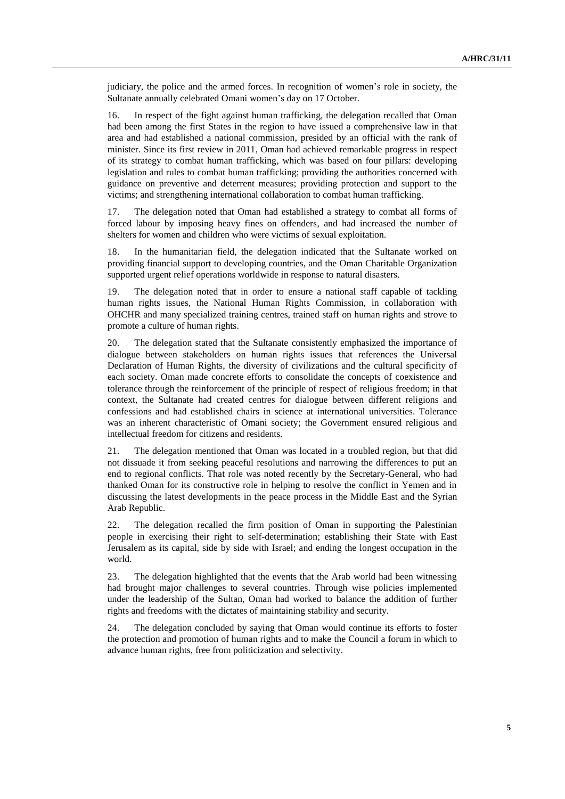judiciary, the police and the armed forces. In recognition of women's role in society, the Sultanate annually celebrated Omani women's day on 17 October.

16. In respect of the fight against human trafficking, the delegation recalled that Oman had been among the first States in the region to have issued a comprehensive law in that area and had established a national commission, presided by an official with the rank of minister. Since its first review in 2011, Oman had achieved remarkable progress in respect of its strategy to combat human trafficking, which was based on four pillars: developing legislation and rules to combat human trafficking; providing the authorities concerned with guidance on preventive and deterrent measures; providing protection and support to the victims; and strengthening international collaboration to combat human trafficking.

17. The delegation noted that Oman had established a strategy to combat all forms of forced labour by imposing heavy fines on offenders, and had increased the number of shelters for women and children who were victims of sexual exploitation.

18. In the humanitarian field, the delegation indicated that the Sultanate worked on providing financial support to developing countries, and the Oman Charitable Organization supported urgent relief operations worldwide in response to natural disasters.

19. The delegation noted that in order to ensure a national staff capable of tackling human rights issues, the National Human Rights Commission, in collaboration with OHCHR and many specialized training centres, trained staff on human rights and strove to promote a culture of human rights.

20. The delegation stated that the Sultanate consistently emphasized the importance of dialogue between stakeholders on human rights issues that references the Universal Declaration of Human Rights, the diversity of civilizations and the cultural specificity of each society. Oman made concrete efforts to consolidate the concepts of coexistence and tolerance through the reinforcement of the principle of respect of religious freedom; in that context, the Sultanate had created centres for dialogue between different religions and confessions and had established chairs in science at international universities. Tolerance was an inherent characteristic of Omani society; the Government ensured religious and intellectual freedom for citizens and residents.

21. The delegation mentioned that Oman was located in a troubled region, but that did not dissuade it from seeking peaceful resolutions and narrowing the differences to put an end to regional conflicts. That role was noted recently by the Secretary-General, who had thanked Oman for its constructive role in helping to resolve the conflict in Yemen and in discussing the latest developments in the peace process in the Middle East and the Syrian Arab Republic.

22. The delegation recalled the firm position of Oman in supporting the Palestinian people in exercising their right to self-determination; establishing their State with East Jerusalem as its capital, side by side with Israel; and ending the longest occupation in the world.

23. The delegation highlighted that the events that the Arab world had been witnessing had brought major challenges to several countries. Through wise policies implemented under the leadership of the Sultan, Oman had worked to balance the addition of further rights and freedoms with the dictates of maintaining stability and security.

24. The delegation concluded by saying that Oman would continue its efforts to foster the protection and promotion of human rights and to make the Council a forum in which to advance human rights, free from politicization and selectivity.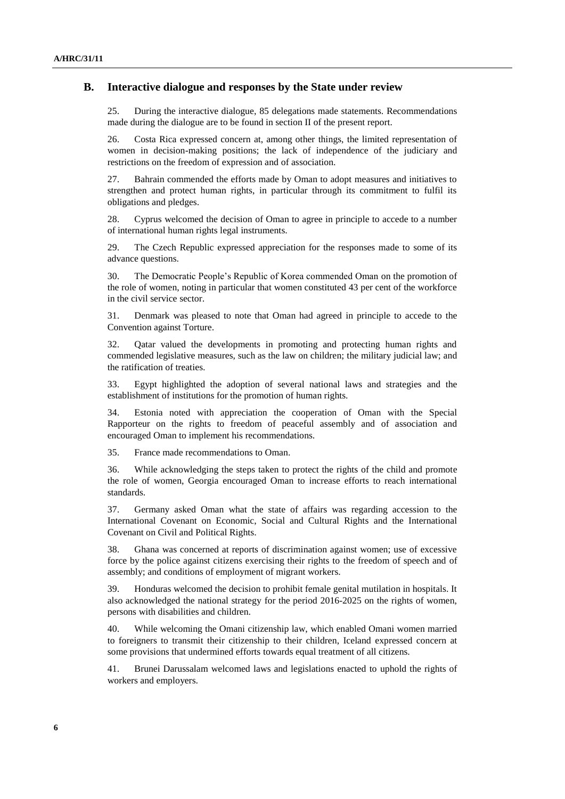### **B. Interactive dialogue and responses by the State under review**

25. During the interactive dialogue, 85 delegations made statements. Recommendations made during the dialogue are to be found in section II of the present report.

26. Costa Rica expressed concern at, among other things, the limited representation of women in decision-making positions; the lack of independence of the judiciary and restrictions on the freedom of expression and of association.

27. Bahrain commended the efforts made by Oman to adopt measures and initiatives to strengthen and protect human rights, in particular through its commitment to fulfil its obligations and pledges.

28. Cyprus welcomed the decision of Oman to agree in principle to accede to a number of international human rights legal instruments.

29. The Czech Republic expressed appreciation for the responses made to some of its advance questions.

30. The Democratic People's Republic of Korea commended Oman on the promotion of the role of women, noting in particular that women constituted 43 per cent of the workforce in the civil service sector.

31. Denmark was pleased to note that Oman had agreed in principle to accede to the Convention against Torture.

32. Qatar valued the developments in promoting and protecting human rights and commended legislative measures, such as the law on children; the military judicial law; and the ratification of treaties.

33. Egypt highlighted the adoption of several national laws and strategies and the establishment of institutions for the promotion of human rights.

34. Estonia noted with appreciation the cooperation of Oman with the Special Rapporteur on the rights to freedom of peaceful assembly and of association and encouraged Oman to implement his recommendations.

35. France made recommendations to Oman.

36. While acknowledging the steps taken to protect the rights of the child and promote the role of women, Georgia encouraged Oman to increase efforts to reach international standards.

37. Germany asked Oman what the state of affairs was regarding accession to the International Covenant on Economic, Social and Cultural Rights and the International Covenant on Civil and Political Rights.

38. Ghana was concerned at reports of discrimination against women; use of excessive force by the police against citizens exercising their rights to the freedom of speech and of assembly; and conditions of employment of migrant workers.

39. Honduras welcomed the decision to prohibit female genital mutilation in hospitals. It also acknowledged the national strategy for the period 2016-2025 on the rights of women, persons with disabilities and children.

40. While welcoming the Omani citizenship law, which enabled Omani women married to foreigners to transmit their citizenship to their children, Iceland expressed concern at some provisions that undermined efforts towards equal treatment of all citizens.

41. Brunei Darussalam welcomed laws and legislations enacted to uphold the rights of workers and employers.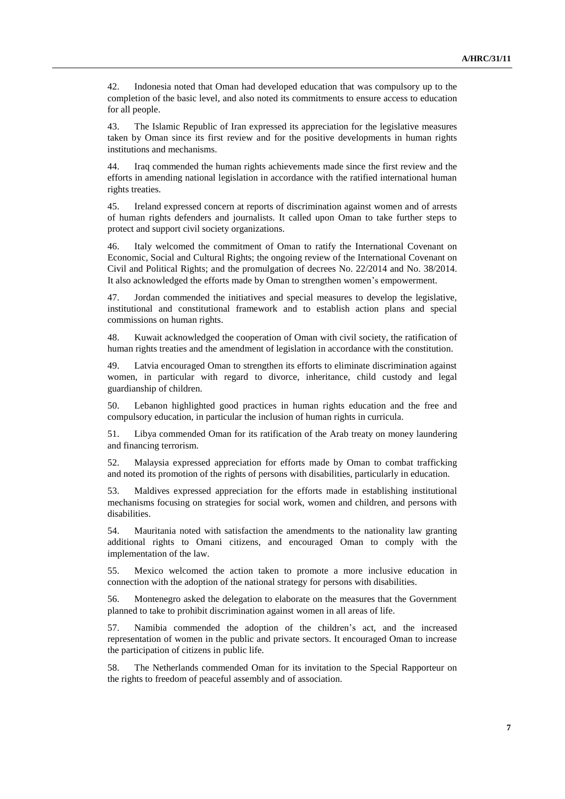42. Indonesia noted that Oman had developed education that was compulsory up to the completion of the basic level, and also noted its commitments to ensure access to education for all people.

43. The Islamic Republic of Iran expressed its appreciation for the legislative measures taken by Oman since its first review and for the positive developments in human rights institutions and mechanisms.

44. Iraq commended the human rights achievements made since the first review and the efforts in amending national legislation in accordance with the ratified international human rights treaties.

45. Ireland expressed concern at reports of discrimination against women and of arrests of human rights defenders and journalists. It called upon Oman to take further steps to protect and support civil society organizations.

46. Italy welcomed the commitment of Oman to ratify the International Covenant on Economic, Social and Cultural Rights; the ongoing review of the International Covenant on Civil and Political Rights; and the promulgation of decrees No. 22/2014 and No. 38/2014. It also acknowledged the efforts made by Oman to strengthen women's empowerment.

47. Jordan commended the initiatives and special measures to develop the legislative, institutional and constitutional framework and to establish action plans and special commissions on human rights.

48. Kuwait acknowledged the cooperation of Oman with civil society, the ratification of human rights treaties and the amendment of legislation in accordance with the constitution.

49. Latvia encouraged Oman to strengthen its efforts to eliminate discrimination against women, in particular with regard to divorce, inheritance, child custody and legal guardianship of children.

50. Lebanon highlighted good practices in human rights education and the free and compulsory education, in particular the inclusion of human rights in curricula.

51. Libya commended Oman for its ratification of the Arab treaty on money laundering and financing terrorism.

52. Malaysia expressed appreciation for efforts made by Oman to combat trafficking and noted its promotion of the rights of persons with disabilities, particularly in education.

53. Maldives expressed appreciation for the efforts made in establishing institutional mechanisms focusing on strategies for social work, women and children, and persons with disabilities.

54. Mauritania noted with satisfaction the amendments to the nationality law granting additional rights to Omani citizens, and encouraged Oman to comply with the implementation of the law.

55. Mexico welcomed the action taken to promote a more inclusive education in connection with the adoption of the national strategy for persons with disabilities.

56. Montenegro asked the delegation to elaborate on the measures that the Government planned to take to prohibit discrimination against women in all areas of life.

57. Namibia commended the adoption of the children's act, and the increased representation of women in the public and private sectors. It encouraged Oman to increase the participation of citizens in public life.

58. The Netherlands commended Oman for its invitation to the Special Rapporteur on the rights to freedom of peaceful assembly and of association.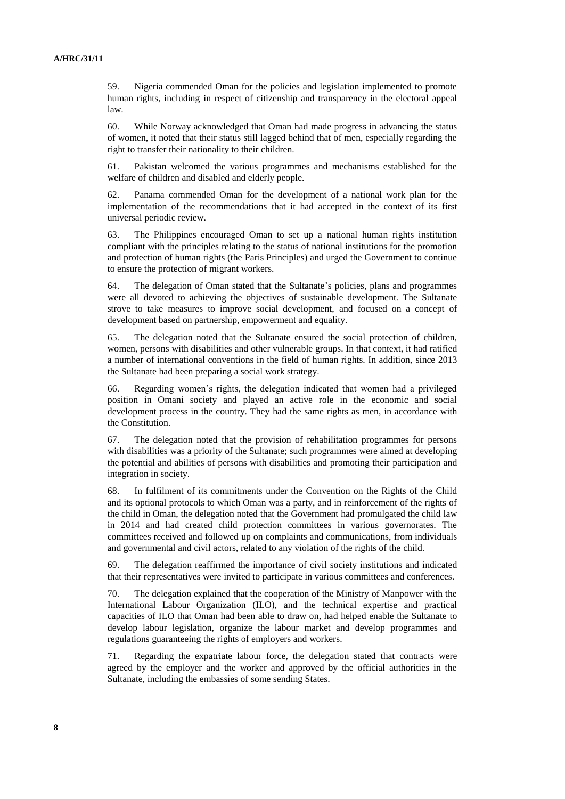59. Nigeria commended Oman for the policies and legislation implemented to promote human rights, including in respect of citizenship and transparency in the electoral appeal law.

60. While Norway acknowledged that Oman had made progress in advancing the status of women, it noted that their status still lagged behind that of men, especially regarding the right to transfer their nationality to their children.

61. Pakistan welcomed the various programmes and mechanisms established for the welfare of children and disabled and elderly people.

62. Panama commended Oman for the development of a national work plan for the implementation of the recommendations that it had accepted in the context of its first universal periodic review.

63. The Philippines encouraged Oman to set up a national human rights institution compliant with the principles relating to the status of national institutions for the promotion and protection of human rights (the Paris Principles) and urged the Government to continue to ensure the protection of migrant workers.

64. The delegation of Oman stated that the Sultanate's policies, plans and programmes were all devoted to achieving the objectives of sustainable development. The Sultanate strove to take measures to improve social development, and focused on a concept of development based on partnership, empowerment and equality.

65. The delegation noted that the Sultanate ensured the social protection of children, women, persons with disabilities and other vulnerable groups. In that context, it had ratified a number of international conventions in the field of human rights. In addition, since 2013 the Sultanate had been preparing a social work strategy.

66. Regarding women's rights, the delegation indicated that women had a privileged position in Omani society and played an active role in the economic and social development process in the country. They had the same rights as men, in accordance with the Constitution.

67. The delegation noted that the provision of rehabilitation programmes for persons with disabilities was a priority of the Sultanate; such programmes were aimed at developing the potential and abilities of persons with disabilities and promoting their participation and integration in society.

68. In fulfilment of its commitments under the Convention on the Rights of the Child and its optional protocols to which Oman was a party, and in reinforcement of the rights of the child in Oman, the delegation noted that the Government had promulgated the child law in 2014 and had created child protection committees in various governorates. The committees received and followed up on complaints and communications, from individuals and governmental and civil actors, related to any violation of the rights of the child.

69. The delegation reaffirmed the importance of civil society institutions and indicated that their representatives were invited to participate in various committees and conferences.

70. The delegation explained that the cooperation of the Ministry of Manpower with the International Labour Organization (ILO), and the technical expertise and practical capacities of ILO that Oman had been able to draw on, had helped enable the Sultanate to develop labour legislation, organize the labour market and develop programmes and regulations guaranteeing the rights of employers and workers.

71. Regarding the expatriate labour force, the delegation stated that contracts were agreed by the employer and the worker and approved by the official authorities in the Sultanate, including the embassies of some sending States.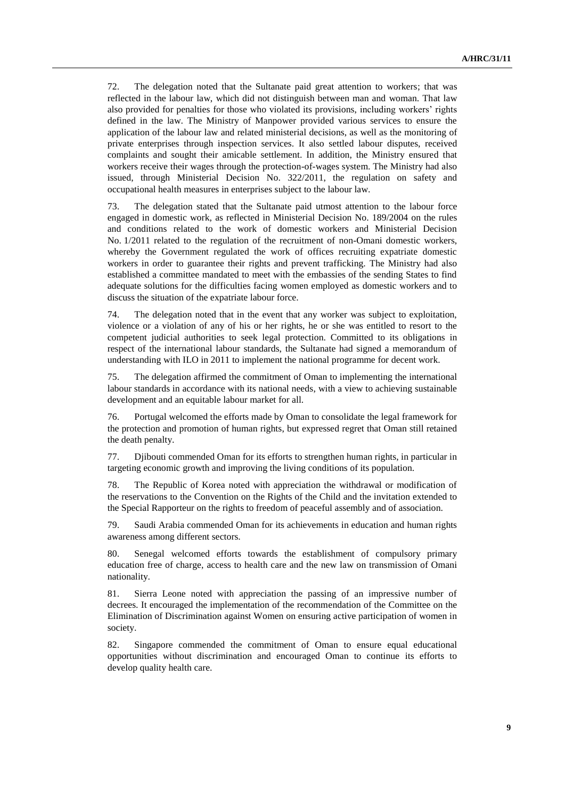72. The delegation noted that the Sultanate paid great attention to workers; that was reflected in the labour law, which did not distinguish between man and woman. That law also provided for penalties for those who violated its provisions, including workers' rights defined in the law. The Ministry of Manpower provided various services to ensure the application of the labour law and related ministerial decisions, as well as the monitoring of private enterprises through inspection services. It also settled labour disputes, received complaints and sought their amicable settlement. In addition, the Ministry ensured that workers receive their wages through the protection-of-wages system. The Ministry had also issued, through Ministerial Decision No. 322/2011, the regulation on safety and occupational health measures in enterprises subject to the labour law.

73. The delegation stated that the Sultanate paid utmost attention to the labour force engaged in domestic work, as reflected in Ministerial Decision No. 189/2004 on the rules and conditions related to the work of domestic workers and Ministerial Decision No. 1/2011 related to the regulation of the recruitment of non-Omani domestic workers, whereby the Government regulated the work of offices recruiting expatriate domestic workers in order to guarantee their rights and prevent trafficking. The Ministry had also established a committee mandated to meet with the embassies of the sending States to find adequate solutions for the difficulties facing women employed as domestic workers and to discuss the situation of the expatriate labour force.

74. The delegation noted that in the event that any worker was subject to exploitation, violence or a violation of any of his or her rights, he or she was entitled to resort to the competent judicial authorities to seek legal protection. Committed to its obligations in respect of the international labour standards, the Sultanate had signed a memorandum of understanding with ILO in 2011 to implement the national programme for decent work.

75. The delegation affirmed the commitment of Oman to implementing the international labour standards in accordance with its national needs, with a view to achieving sustainable development and an equitable labour market for all.

76. Portugal welcomed the efforts made by Oman to consolidate the legal framework for the protection and promotion of human rights, but expressed regret that Oman still retained the death penalty.

77. Djibouti commended Oman for its efforts to strengthen human rights, in particular in targeting economic growth and improving the living conditions of its population.

78. The Republic of Korea noted with appreciation the withdrawal or modification of the reservations to the Convention on the Rights of the Child and the invitation extended to the Special Rapporteur on the rights to freedom of peaceful assembly and of association.

79. Saudi Arabia commended Oman for its achievements in education and human rights awareness among different sectors.

80. Senegal welcomed efforts towards the establishment of compulsory primary education free of charge, access to health care and the new law on transmission of Omani nationality.

81. Sierra Leone noted with appreciation the passing of an impressive number of decrees. It encouraged the implementation of the recommendation of the Committee on the Elimination of Discrimination against Women on ensuring active participation of women in society.

82. Singapore commended the commitment of Oman to ensure equal educational opportunities without discrimination and encouraged Oman to continue its efforts to develop quality health care.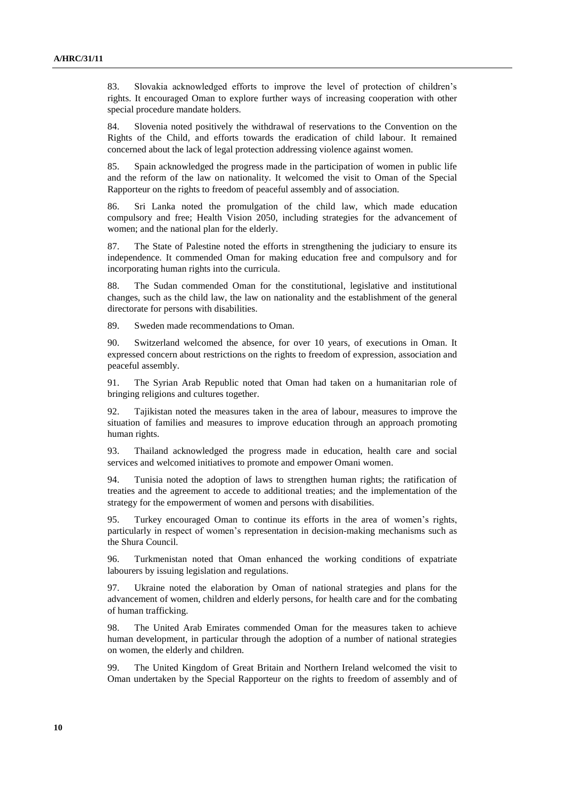83. Slovakia acknowledged efforts to improve the level of protection of children's rights. It encouraged Oman to explore further ways of increasing cooperation with other special procedure mandate holders.

84. Slovenia noted positively the withdrawal of reservations to the Convention on the Rights of the Child, and efforts towards the eradication of child labour. It remained concerned about the lack of legal protection addressing violence against women.

85. Spain acknowledged the progress made in the participation of women in public life and the reform of the law on nationality. It welcomed the visit to Oman of the Special Rapporteur on the rights to freedom of peaceful assembly and of association.

86. Sri Lanka noted the promulgation of the child law, which made education compulsory and free; Health Vision 2050, including strategies for the advancement of women; and the national plan for the elderly.

87. The State of Palestine noted the efforts in strengthening the judiciary to ensure its independence. It commended Oman for making education free and compulsory and for incorporating human rights into the curricula.

88. The Sudan commended Oman for the constitutional, legislative and institutional changes, such as the child law, the law on nationality and the establishment of the general directorate for persons with disabilities.

89. Sweden made recommendations to Oman.

90. Switzerland welcomed the absence, for over 10 years, of executions in Oman. It expressed concern about restrictions on the rights to freedom of expression, association and peaceful assembly.

91. The Syrian Arab Republic noted that Oman had taken on a humanitarian role of bringing religions and cultures together.

92. Tajikistan noted the measures taken in the area of labour, measures to improve the situation of families and measures to improve education through an approach promoting human rights.

93. Thailand acknowledged the progress made in education, health care and social services and welcomed initiatives to promote and empower Omani women.

94. Tunisia noted the adoption of laws to strengthen human rights; the ratification of treaties and the agreement to accede to additional treaties; and the implementation of the strategy for the empowerment of women and persons with disabilities.

95. Turkey encouraged Oman to continue its efforts in the area of women's rights, particularly in respect of women's representation in decision-making mechanisms such as the Shura Council.

96. Turkmenistan noted that Oman enhanced the working conditions of expatriate labourers by issuing legislation and regulations.

97. Ukraine noted the elaboration by Oman of national strategies and plans for the advancement of women, children and elderly persons, for health care and for the combating of human trafficking.

98. The United Arab Emirates commended Oman for the measures taken to achieve human development, in particular through the adoption of a number of national strategies on women, the elderly and children.

99. The United Kingdom of Great Britain and Northern Ireland welcomed the visit to Oman undertaken by the Special Rapporteur on the rights to freedom of assembly and of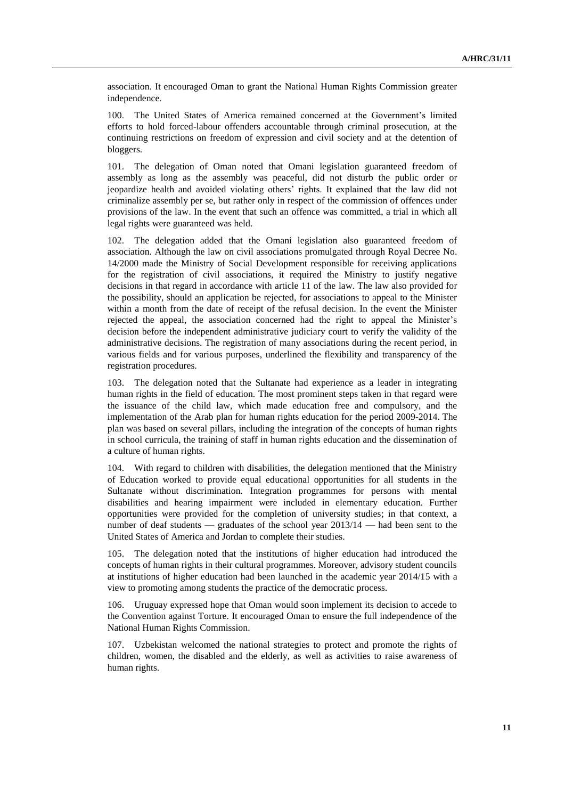association. It encouraged Oman to grant the National Human Rights Commission greater independence.

100. The United States of America remained concerned at the Government's limited efforts to hold forced-labour offenders accountable through criminal prosecution, at the continuing restrictions on freedom of expression and civil society and at the detention of bloggers.

101. The delegation of Oman noted that Omani legislation guaranteed freedom of assembly as long as the assembly was peaceful, did not disturb the public order or jeopardize health and avoided violating others' rights. It explained that the law did not criminalize assembly per se, but rather only in respect of the commission of offences under provisions of the law. In the event that such an offence was committed, a trial in which all legal rights were guaranteed was held.

102. The delegation added that the Omani legislation also guaranteed freedom of association. Although the law on civil associations promulgated through Royal Decree No. 14/2000 made the Ministry of Social Development responsible for receiving applications for the registration of civil associations, it required the Ministry to justify negative decisions in that regard in accordance with article 11 of the law. The law also provided for the possibility, should an application be rejected, for associations to appeal to the Minister within a month from the date of receipt of the refusal decision. In the event the Minister rejected the appeal, the association concerned had the right to appeal the Minister's decision before the independent administrative judiciary court to verify the validity of the administrative decisions. The registration of many associations during the recent period, in various fields and for various purposes, underlined the flexibility and transparency of the registration procedures.

103. The delegation noted that the Sultanate had experience as a leader in integrating human rights in the field of education. The most prominent steps taken in that regard were the issuance of the child law, which made education free and compulsory, and the implementation of the Arab plan for human rights education for the period 2009-2014. The plan was based on several pillars, including the integration of the concepts of human rights in school curricula, the training of staff in human rights education and the dissemination of a culture of human rights.

104. With regard to children with disabilities, the delegation mentioned that the Ministry of Education worked to provide equal educational opportunities for all students in the Sultanate without discrimination. Integration programmes for persons with mental disabilities and hearing impairment were included in elementary education. Further opportunities were provided for the completion of university studies; in that context, a number of deaf students — graduates of the school year 2013/14 — had been sent to the United States of America and Jordan to complete their studies.

105. The delegation noted that the institutions of higher education had introduced the concepts of human rights in their cultural programmes. Moreover, advisory student councils at institutions of higher education had been launched in the academic year 2014/15 with a view to promoting among students the practice of the democratic process.

106. Uruguay expressed hope that Oman would soon implement its decision to accede to the Convention against Torture. It encouraged Oman to ensure the full independence of the National Human Rights Commission.

107. Uzbekistan welcomed the national strategies to protect and promote the rights of children, women, the disabled and the elderly, as well as activities to raise awareness of human rights.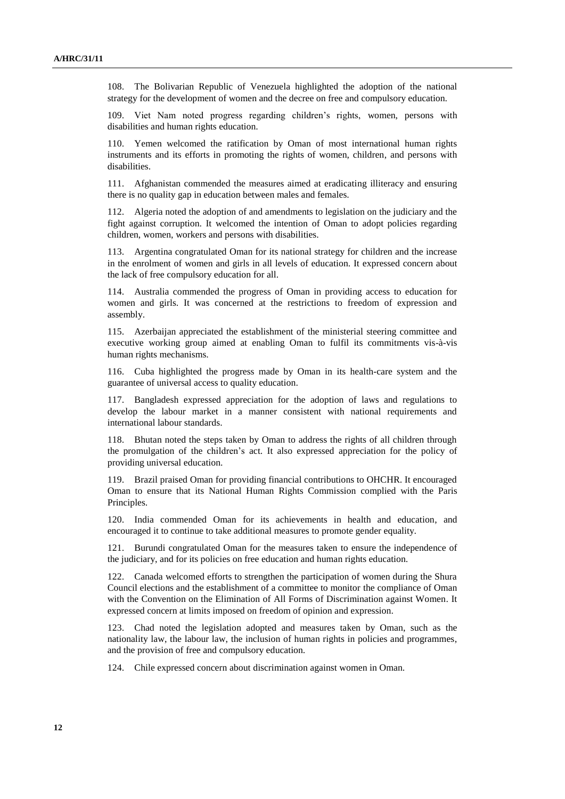108. The Bolivarian Republic of Venezuela highlighted the adoption of the national strategy for the development of women and the decree on free and compulsory education.

109. Viet Nam noted progress regarding children's rights, women, persons with disabilities and human rights education.

110. Yemen welcomed the ratification by Oman of most international human rights instruments and its efforts in promoting the rights of women, children, and persons with disabilities.

111. Afghanistan commended the measures aimed at eradicating illiteracy and ensuring there is no quality gap in education between males and females.

112. Algeria noted the adoption of and amendments to legislation on the judiciary and the fight against corruption. It welcomed the intention of Oman to adopt policies regarding children, women, workers and persons with disabilities.

113. Argentina congratulated Oman for its national strategy for children and the increase in the enrolment of women and girls in all levels of education. It expressed concern about the lack of free compulsory education for all.

114. Australia commended the progress of Oman in providing access to education for women and girls. It was concerned at the restrictions to freedom of expression and assembly.

115. Azerbaijan appreciated the establishment of the ministerial steering committee and executive working group aimed at enabling Oman to fulfil its commitments vis-à-vis human rights mechanisms.

116. Cuba highlighted the progress made by Oman in its health-care system and the guarantee of universal access to quality education.

117. Bangladesh expressed appreciation for the adoption of laws and regulations to develop the labour market in a manner consistent with national requirements and international labour standards.

118. Bhutan noted the steps taken by Oman to address the rights of all children through the promulgation of the children's act. It also expressed appreciation for the policy of providing universal education.

119. Brazil praised Oman for providing financial contributions to OHCHR. It encouraged Oman to ensure that its National Human Rights Commission complied with the Paris Principles.

120. India commended Oman for its achievements in health and education, and encouraged it to continue to take additional measures to promote gender equality.

121. Burundi congratulated Oman for the measures taken to ensure the independence of the judiciary, and for its policies on free education and human rights education.

122. Canada welcomed efforts to strengthen the participation of women during the Shura Council elections and the establishment of a committee to monitor the compliance of Oman with the Convention on the Elimination of All Forms of Discrimination against Women. It expressed concern at limits imposed on freedom of opinion and expression.

123. Chad noted the legislation adopted and measures taken by Oman, such as the nationality law, the labour law, the inclusion of human rights in policies and programmes, and the provision of free and compulsory education.

124. Chile expressed concern about discrimination against women in Oman.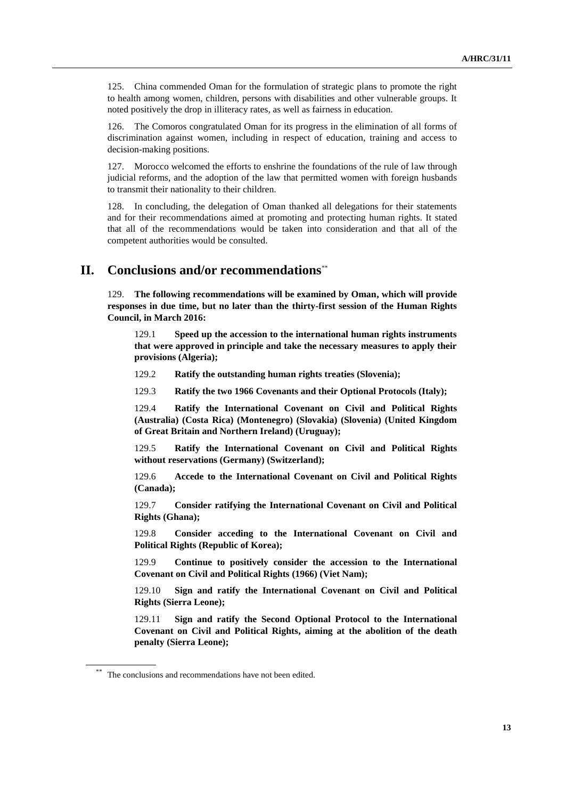125. China commended Oman for the formulation of strategic plans to promote the right to health among women, children, persons with disabilities and other vulnerable groups. It noted positively the drop in illiteracy rates, as well as fairness in education.

126. The Comoros congratulated Oman for its progress in the elimination of all forms of discrimination against women, including in respect of education, training and access to decision-making positions.

127. Morocco welcomed the efforts to enshrine the foundations of the rule of law through judicial reforms, and the adoption of the law that permitted women with foreign husbands to transmit their nationality to their children.

128. In concluding, the delegation of Oman thanked all delegations for their statements and for their recommendations aimed at promoting and protecting human rights. It stated that all of the recommendations would be taken into consideration and that all of the competent authorities would be consulted.

## **II. Conclusions and/or recommendations**\*\*

129. **The following recommendations will be examined by Oman, which will provide responses in due time, but no later than the thirty-first session of the Human Rights Council, in March 2016:**

129.1 **Speed up the accession to the international human rights instruments that were approved in principle and take the necessary measures to apply their provisions (Algeria);**

129.2 **Ratify the outstanding human rights treaties (Slovenia);**

129.3 **Ratify the two 1966 Covenants and their Optional Protocols (Italy);**

129.4 **Ratify the International Covenant on Civil and Political Rights (Australia) (Costa Rica) (Montenegro) (Slovakia) (Slovenia) (United Kingdom of Great Britain and Northern Ireland) (Uruguay);**

129.5 **Ratify the International Covenant on Civil and Political Rights without reservations (Germany) (Switzerland);**

129.6 **Accede to the International Covenant on Civil and Political Rights (Canada);**

129.7 **Consider ratifying the International Covenant on Civil and Political Rights (Ghana);**

129.8 **Consider acceding to the International Covenant on Civil and Political Rights (Republic of Korea);**

129.9 **Continue to positively consider the accession to the International Covenant on Civil and Political Rights (1966) (Viet Nam);**

129.10 **Sign and ratify the International Covenant on Civil and Political Rights (Sierra Leone);**

129.11 **Sign and ratify the Second Optional Protocol to the International Covenant on Civil and Political Rights, aiming at the abolition of the death penalty (Sierra Leone);**

The conclusions and recommendations have not been edited.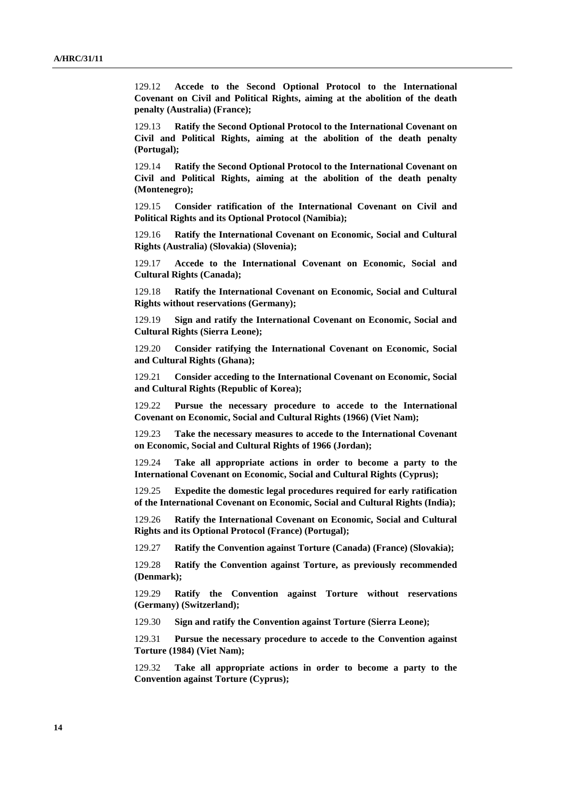129.12 **Accede to the Second Optional Protocol to the International Covenant on Civil and Political Rights, aiming at the abolition of the death penalty (Australia) (France);**

129.13 **Ratify the Second Optional Protocol to the International Covenant on Civil and Political Rights, aiming at the abolition of the death penalty (Portugal);**

129.14 **Ratify the Second Optional Protocol to the International Covenant on Civil and Political Rights, aiming at the abolition of the death penalty (Montenegro);**

129.15 **Consider ratification of the International Covenant on Civil and Political Rights and its Optional Protocol (Namibia);**

129.16 **Ratify the International Covenant on Economic, Social and Cultural Rights (Australia) (Slovakia) (Slovenia);**

129.17 **Accede to the International Covenant on Economic, Social and Cultural Rights (Canada);**

129.18 **Ratify the International Covenant on Economic, Social and Cultural Rights without reservations (Germany);**

129.19 **Sign and ratify the International Covenant on Economic, Social and Cultural Rights (Sierra Leone);**

129.20 **Consider ratifying the International Covenant on Economic, Social and Cultural Rights (Ghana);**

129.21 **Consider acceding to the International Covenant on Economic, Social and Cultural Rights (Republic of Korea);**

129.22 **Pursue the necessary procedure to accede to the International Covenant on Economic, Social and Cultural Rights (1966) (Viet Nam);**

129.23 **Take the necessary measures to accede to the International Covenant on Economic, Social and Cultural Rights of 1966 (Jordan);**

129.24 **Take all appropriate actions in order to become a party to the International Covenant on Economic, Social and Cultural Rights (Cyprus);**

129.25 **Expedite the domestic legal procedures required for early ratification of the International Covenant on Economic, Social and Cultural Rights (India);**

129.26 **Ratify the International Covenant on Economic, Social and Cultural Rights and its Optional Protocol (France) (Portugal);**

129.27 **Ratify the Convention against Torture (Canada) (France) (Slovakia);**

129.28 **Ratify the Convention against Torture, as previously recommended (Denmark);**

129.29 **Ratify the Convention against Torture without reservations (Germany) (Switzerland);**

129.30 **Sign and ratify the Convention against Torture (Sierra Leone);**

129.31 **Pursue the necessary procedure to accede to the Convention against Torture (1984) (Viet Nam);**

129.32 **Take all appropriate actions in order to become a party to the Convention against Torture (Cyprus);**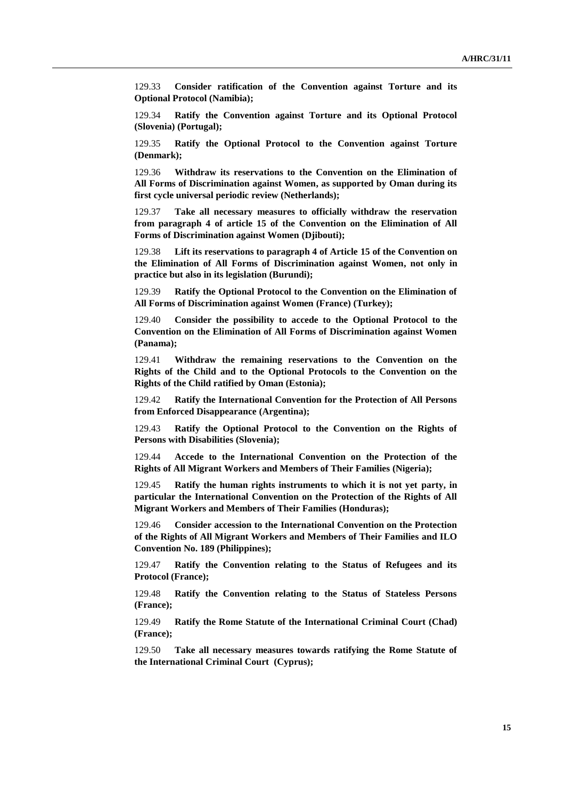129.33 **Consider ratification of the Convention against Torture and its Optional Protocol (Namibia);**

129.34 **Ratify the Convention against Torture and its Optional Protocol (Slovenia) (Portugal);**

129.35 **Ratify the Optional Protocol to the Convention against Torture (Denmark);**

129.36 **Withdraw its reservations to the Convention on the Elimination of All Forms of Discrimination against Women, as supported by Oman during its first cycle universal periodic review (Netherlands);**

129.37 **Take all necessary measures to officially withdraw the reservation from paragraph 4 of article 15 of the Convention on the Elimination of All Forms of Discrimination against Women (Djibouti);**

129.38 **Lift its reservations to paragraph 4 of Article 15 of the Convention on the Elimination of All Forms of Discrimination against Women, not only in practice but also in its legislation (Burundi);**

129.39 **Ratify the Optional Protocol to the Convention on the Elimination of All Forms of Discrimination against Women (France) (Turkey);**

129.40 **Consider the possibility to accede to the Optional Protocol to the Convention on the Elimination of All Forms of Discrimination against Women (Panama);**

129.41 **Withdraw the remaining reservations to the Convention on the Rights of the Child and to the Optional Protocols to the Convention on the Rights of the Child ratified by Oman (Estonia);**

129.42 **Ratify the International Convention for the Protection of All Persons from Enforced Disappearance (Argentina);**

129.43 **Ratify the Optional Protocol to the Convention on the Rights of Persons with Disabilities (Slovenia);**

129.44 **Accede to the International Convention on the Protection of the Rights of All Migrant Workers and Members of Their Families (Nigeria);**

129.45 **Ratify the human rights instruments to which it is not yet party, in particular the International Convention on the Protection of the Rights of All Migrant Workers and Members of Their Families (Honduras);**

129.46 **Consider accession to the International Convention on the Protection of the Rights of All Migrant Workers and Members of Their Families and ILO Convention No. 189 (Philippines);**

129.47 **Ratify the Convention relating to the Status of Refugees and its Protocol (France);**

129.48 **Ratify the Convention relating to the Status of Stateless Persons (France);**

129.49 **Ratify the Rome Statute of the International Criminal Court (Chad) (France);**

129.50 **Take all necessary measures towards ratifying the Rome Statute of the International Criminal Court (Cyprus);**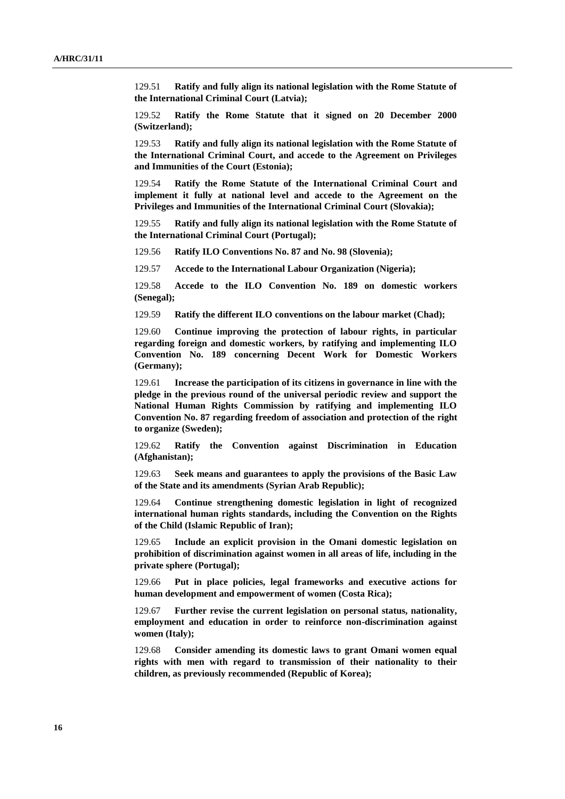129.51 **Ratify and fully align its national legislation with the Rome Statute of the International Criminal Court (Latvia);**

129.52 **Ratify the Rome Statute that it signed on 20 December 2000 (Switzerland);**

129.53 **Ratify and fully align its national legislation with the Rome Statute of the International Criminal Court, and accede to the Agreement on Privileges and Immunities of the Court (Estonia);**

129.54 **Ratify the Rome Statute of the International Criminal Court and implement it fully at national level and accede to the Agreement on the Privileges and Immunities of the International Criminal Court (Slovakia);**

129.55 **Ratify and fully align its national legislation with the Rome Statute of the International Criminal Court (Portugal);**

129.56 **Ratify ILO Conventions No. 87 and No. 98 (Slovenia);**

129.57 **Accede to the International Labour Organization (Nigeria);**

129.58 **Accede to the ILO Convention No. 189 on domestic workers (Senegal);**

129.59 **Ratify the different ILO conventions on the labour market (Chad);**

129.60 **Continue improving the protection of labour rights, in particular regarding foreign and domestic workers, by ratifying and implementing ILO Convention No. 189 concerning Decent Work for Domestic Workers (Germany);**

129.61 **Increase the participation of its citizens in governance in line with the pledge in the previous round of the universal periodic review and support the National Human Rights Commission by ratifying and implementing ILO Convention No. 87 regarding freedom of association and protection of the right to organize (Sweden);**

129.62 **Ratify the Convention against Discrimination in Education (Afghanistan);**

129.63 **Seek means and guarantees to apply the provisions of the Basic Law of the State and its amendments (Syrian Arab Republic);**

129.64 **Continue strengthening domestic legislation in light of recognized international human rights standards, including the Convention on the Rights of the Child (Islamic Republic of Iran);**

129.65 **Include an explicit provision in the Omani domestic legislation on prohibition of discrimination against women in all areas of life, including in the private sphere (Portugal);**

129.66 **Put in place policies, legal frameworks and executive actions for human development and empowerment of women (Costa Rica);**

129.67 **Further revise the current legislation on personal status, nationality, employment and education in order to reinforce non-discrimination against women (Italy);**

129.68 **Consider amending its domestic laws to grant Omani women equal rights with men with regard to transmission of their nationality to their children, as previously recommended (Republic of Korea);**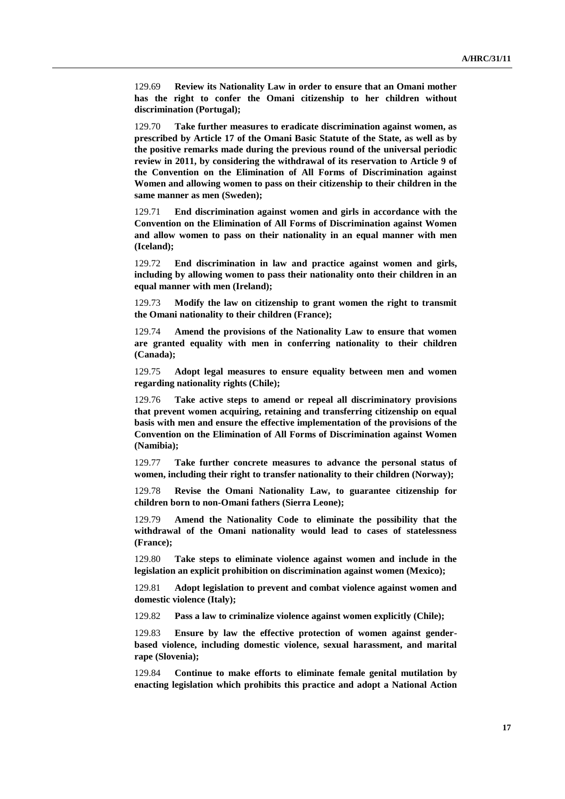129.69 **Review its Nationality Law in order to ensure that an Omani mother has the right to confer the Omani citizenship to her children without discrimination (Portugal);**

129.70 **Take further measures to eradicate discrimination against women, as prescribed by Article 17 of the Omani Basic Statute of the State, as well as by the positive remarks made during the previous round of the universal periodic review in 2011, by considering the withdrawal of its reservation to Article 9 of the Convention on the Elimination of All Forms of Discrimination against Women and allowing women to pass on their citizenship to their children in the same manner as men (Sweden);**

129.71 **End discrimination against women and girls in accordance with the Convention on the Elimination of All Forms of Discrimination against Women and allow women to pass on their nationality in an equal manner with men (Iceland);**

129.72 **End discrimination in law and practice against women and girls, including by allowing women to pass their nationality onto their children in an equal manner with men (Ireland);**

129.73 **Modify the law on citizenship to grant women the right to transmit the Omani nationality to their children (France);**

129.74 **Amend the provisions of the Nationality Law to ensure that women are granted equality with men in conferring nationality to their children (Canada);**

129.75 **Adopt legal measures to ensure equality between men and women regarding nationality rights (Chile);**

129.76 **Take active steps to amend or repeal all discriminatory provisions that prevent women acquiring, retaining and transferring citizenship on equal basis with men and ensure the effective implementation of the provisions of the Convention on the Elimination of All Forms of Discrimination against Women (Namibia);**

129.77 **Take further concrete measures to advance the personal status of women, including their right to transfer nationality to their children (Norway);**

129.78 **Revise the Omani Nationality Law, to guarantee citizenship for children born to non-Omani fathers (Sierra Leone);**

129.79 **Amend the Nationality Code to eliminate the possibility that the withdrawal of the Omani nationality would lead to cases of statelessness (France);**

129.80 **Take steps to eliminate violence against women and include in the legislation an explicit prohibition on discrimination against women (Mexico);**

129.81 **Adopt legislation to prevent and combat violence against women and domestic violence (Italy);**

129.82 **Pass a law to criminalize violence against women explicitly (Chile);**

129.83 **Ensure by law the effective protection of women against genderbased violence, including domestic violence, sexual harassment, and marital rape (Slovenia);**

129.84 **Continue to make efforts to eliminate female genital mutilation by enacting legislation which prohibits this practice and adopt a National Action**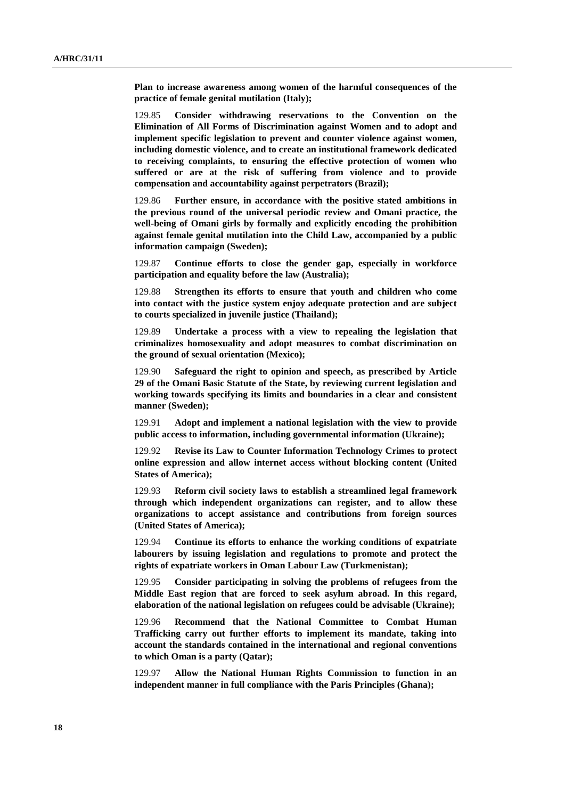**Plan to increase awareness among women of the harmful consequences of the practice of female genital mutilation (Italy);**

129.85 **Consider withdrawing reservations to the Convention on the Elimination of All Forms of Discrimination against Women and to adopt and implement specific legislation to prevent and counter violence against women, including domestic violence, and to create an institutional framework dedicated to receiving complaints, to ensuring the effective protection of women who suffered or are at the risk of suffering from violence and to provide compensation and accountability against perpetrators (Brazil);**

129.86 **Further ensure, in accordance with the positive stated ambitions in the previous round of the universal periodic review and Omani practice, the well-being of Omani girls by formally and explicitly encoding the prohibition against female genital mutilation into the Child Law, accompanied by a public information campaign (Sweden);**

129.87 **Continue efforts to close the gender gap, especially in workforce participation and equality before the law (Australia);**

129.88 **Strengthen its efforts to ensure that youth and children who come into contact with the justice system enjoy adequate protection and are subject to courts specialized in juvenile justice (Thailand);**

129.89 **Undertake a process with a view to repealing the legislation that criminalizes homosexuality and adopt measures to combat discrimination on the ground of sexual orientation (Mexico);**

129.90 **Safeguard the right to opinion and speech, as prescribed by Article 29 of the Omani Basic Statute of the State, by reviewing current legislation and working towards specifying its limits and boundaries in a clear and consistent manner (Sweden);**

129.91 **Adopt and implement a national legislation with the view to provide public access to information, including governmental information (Ukraine);**

129.92 **Revise its Law to Counter Information Technology Crimes to protect online expression and allow internet access without blocking content (United States of America);**

129.93 **Reform civil society laws to establish a streamlined legal framework through which independent organizations can register, and to allow these organizations to accept assistance and contributions from foreign sources (United States of America);**

129.94 **Continue its efforts to enhance the working conditions of expatriate labourers by issuing legislation and regulations to promote and protect the rights of expatriate workers in Oman Labour Law (Turkmenistan);**

129.95 **Consider participating in solving the problems of refugees from the Middle East region that are forced to seek asylum abroad. In this regard, elaboration of the national legislation on refugees could be advisable (Ukraine);**

129.96 **Recommend that the National Committee to Combat Human Trafficking carry out further efforts to implement its mandate, taking into account the standards contained in the international and regional conventions to which Oman is a party (Qatar);**

129.97 **Allow the National Human Rights Commission to function in an independent manner in full compliance with the Paris Principles (Ghana);**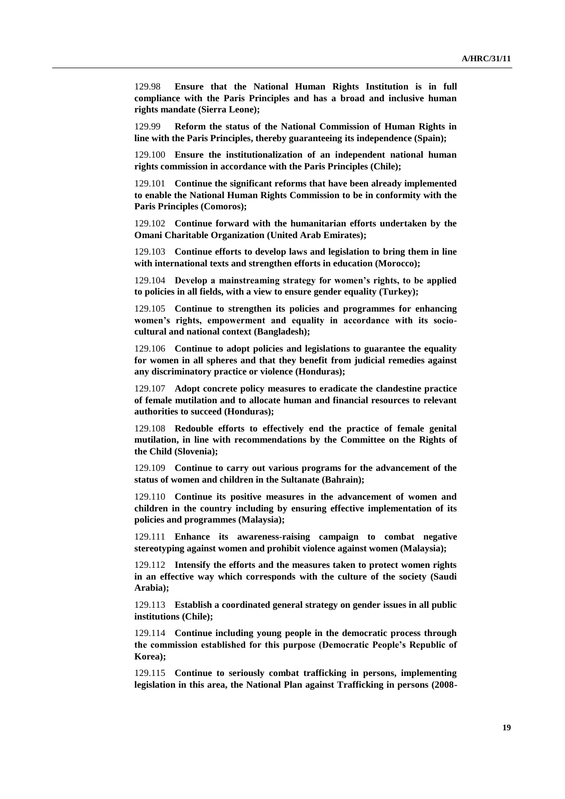129.98 **Ensure that the National Human Rights Institution is in full compliance with the Paris Principles and has a broad and inclusive human rights mandate (Sierra Leone);**

129.99 **Reform the status of the National Commission of Human Rights in line with the Paris Principles, thereby guaranteeing its independence (Spain);**

129.100 **Ensure the institutionalization of an independent national human rights commission in accordance with the Paris Principles (Chile);**

129.101 **Continue the significant reforms that have been already implemented to enable the National Human Rights Commission to be in conformity with the Paris Principles (Comoros);**

129.102 **Continue forward with the humanitarian efforts undertaken by the Omani Charitable Organization (United Arab Emirates);**

129.103 **Continue efforts to develop laws and legislation to bring them in line with international texts and strengthen efforts in education (Morocco);**

129.104 **Develop a mainstreaming strategy for women's rights, to be applied to policies in all fields, with a view to ensure gender equality (Turkey);**

129.105 **Continue to strengthen its policies and programmes for enhancing women's rights, empowerment and equality in accordance with its sociocultural and national context (Bangladesh);**

129.106 **Continue to adopt policies and legislations to guarantee the equality for women in all spheres and that they benefit from judicial remedies against any discriminatory practice or violence (Honduras);**

129.107 **Adopt concrete policy measures to eradicate the clandestine practice of female mutilation and to allocate human and financial resources to relevant authorities to succeed (Honduras);**

129.108 **Redouble efforts to effectively end the practice of female genital mutilation, in line with recommendations by the Committee on the Rights of the Child (Slovenia);**

129.109 **Continue to carry out various programs for the advancement of the status of women and children in the Sultanate (Bahrain);**

129.110 **Continue its positive measures in the advancement of women and children in the country including by ensuring effective implementation of its policies and programmes (Malaysia);**

129.111 **Enhance its awareness-raising campaign to combat negative stereotyping against women and prohibit violence against women (Malaysia);**

129.112 **Intensify the efforts and the measures taken to protect women rights in an effective way which corresponds with the culture of the society (Saudi Arabia);**

129.113 **Establish a coordinated general strategy on gender issues in all public institutions (Chile);**

129.114 **Continue including young people in the democratic process through the commission established for this purpose (Democratic People's Republic of Korea);**

129.115 **Continue to seriously combat trafficking in persons, implementing legislation in this area, the National Plan against Trafficking in persons (2008-**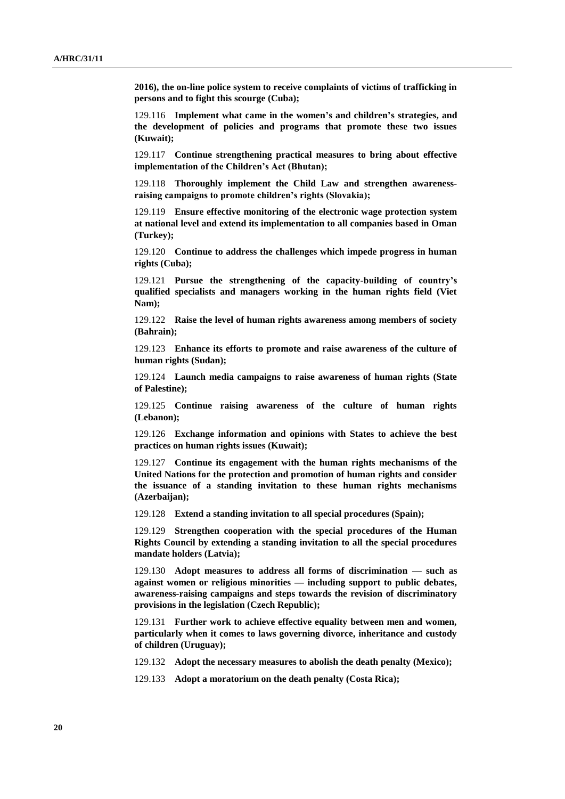**2016), the on-line police system to receive complaints of victims of trafficking in persons and to fight this scourge (Cuba);**

129.116 **Implement what came in the women's and children's strategies, and the development of policies and programs that promote these two issues (Kuwait);**

129.117 **Continue strengthening practical measures to bring about effective implementation of the Children's Act (Bhutan);**

129.118 **Thoroughly implement the Child Law and strengthen awarenessraising campaigns to promote children's rights (Slovakia);**

129.119 **Ensure effective monitoring of the electronic wage protection system at national level and extend its implementation to all companies based in Oman (Turkey);**

129.120 **Continue to address the challenges which impede progress in human rights (Cuba);**

129.121 **Pursue the strengthening of the capacity-building of country's qualified specialists and managers working in the human rights field (Viet Nam);**

129.122 **Raise the level of human rights awareness among members of society (Bahrain);**

129.123 **Enhance its efforts to promote and raise awareness of the culture of human rights (Sudan);**

129.124 **Launch media campaigns to raise awareness of human rights (State of Palestine);**

129.125 **Continue raising awareness of the culture of human rights (Lebanon);**

129.126 **Exchange information and opinions with States to achieve the best practices on human rights issues (Kuwait);**

129.127 **Continue its engagement with the human rights mechanisms of the United Nations for the protection and promotion of human rights and consider the issuance of a standing invitation to these human rights mechanisms (Azerbaijan);**

129.128 **Extend a standing invitation to all special procedures (Spain);**

129.129 **Strengthen cooperation with the special procedures of the Human Rights Council by extending a standing invitation to all the special procedures mandate holders (Latvia);**

129.130 **Adopt measures to address all forms of discrimination — such as against women or religious minorities — including support to public debates, awareness-raising campaigns and steps towards the revision of discriminatory provisions in the legislation (Czech Republic);**

129.131 **Further work to achieve effective equality between men and women, particularly when it comes to laws governing divorce, inheritance and custody of children (Uruguay);**

129.132 **Adopt the necessary measures to abolish the death penalty (Mexico);**

129.133 **Adopt a moratorium on the death penalty (Costa Rica);**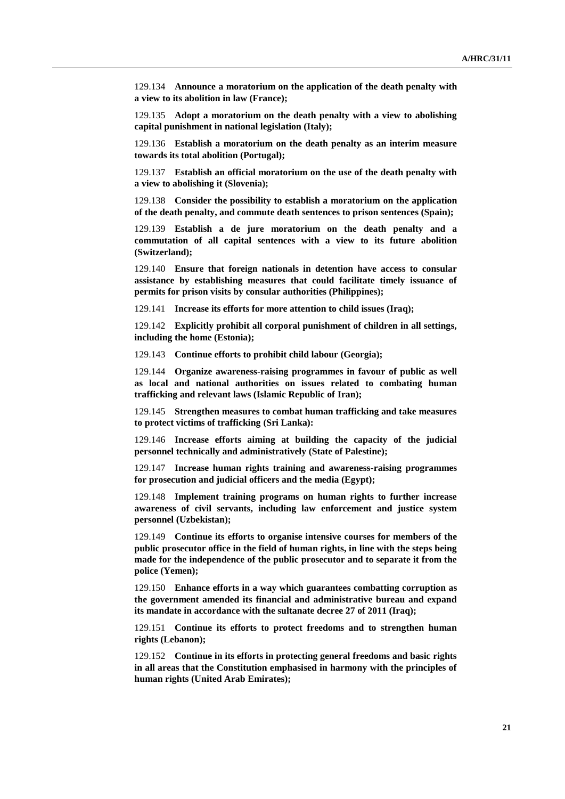129.134 **Announce a moratorium on the application of the death penalty with a view to its abolition in law (France);**

129.135 **Adopt a moratorium on the death penalty with a view to abolishing capital punishment in national legislation (Italy);**

129.136 **Establish a moratorium on the death penalty as an interim measure towards its total abolition (Portugal);**

129.137 **Establish an official moratorium on the use of the death penalty with a view to abolishing it (Slovenia);**

129.138 **Consider the possibility to establish a moratorium on the application of the death penalty, and commute death sentences to prison sentences (Spain);**

129.139 **Establish a de jure moratorium on the death penalty and a commutation of all capital sentences with a view to its future abolition (Switzerland);**

129.140 **Ensure that foreign nationals in detention have access to consular assistance by establishing measures that could facilitate timely issuance of permits for prison visits by consular authorities (Philippines);**

129.141 **Increase its efforts for more attention to child issues (Iraq);**

129.142 **Explicitly prohibit all corporal punishment of children in all settings, including the home (Estonia);**

129.143 **Continue efforts to prohibit child labour (Georgia);**

129.144 **Organize awareness-raising programmes in favour of public as well as local and national authorities on issues related to combating human trafficking and relevant laws (Islamic Republic of Iran);**

129.145 **Strengthen measures to combat human trafficking and take measures to protect victims of trafficking (Sri Lanka):**

129.146 **Increase efforts aiming at building the capacity of the judicial personnel technically and administratively (State of Palestine);**

129.147 **Increase human rights training and awareness-raising programmes for prosecution and judicial officers and the media (Egypt);**

129.148 **Implement training programs on human rights to further increase awareness of civil servants, including law enforcement and justice system personnel (Uzbekistan);**

129.149 **Continue its efforts to organise intensive courses for members of the public prosecutor office in the field of human rights, in line with the steps being made for the independence of the public prosecutor and to separate it from the police (Yemen);**

129.150 **Enhance efforts in a way which guarantees combatting corruption as the government amended its financial and administrative bureau and expand its mandate in accordance with the sultanate decree 27 of 2011 (Iraq);**

129.151 **Continue its efforts to protect freedoms and to strengthen human rights (Lebanon);**

129.152 **Continue in its efforts in protecting general freedoms and basic rights in all areas that the Constitution emphasised in harmony with the principles of human rights (United Arab Emirates);**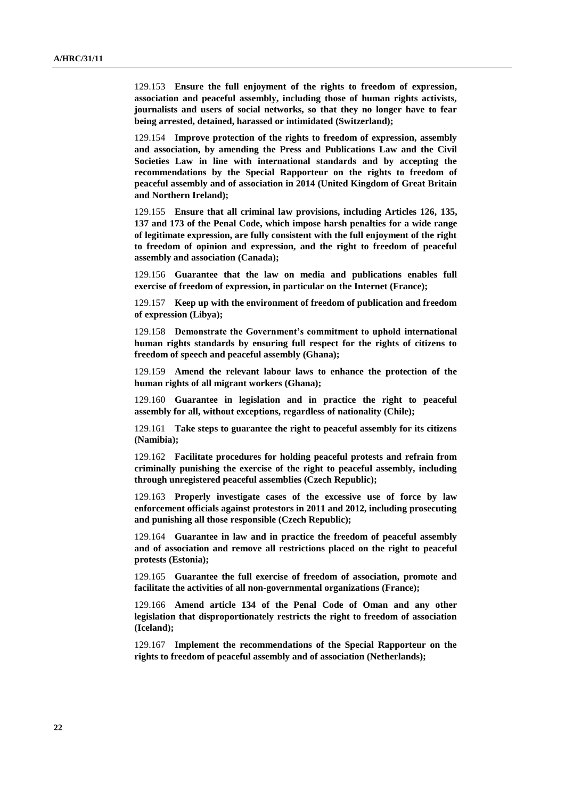129.153 **Ensure the full enjoyment of the rights to freedom of expression, association and peaceful assembly, including those of human rights activists, journalists and users of social networks, so that they no longer have to fear being arrested, detained, harassed or intimidated (Switzerland);**

129.154 **Improve protection of the rights to freedom of expression, assembly and association, by amending the Press and Publications Law and the Civil Societies Law in line with international standards and by accepting the recommendations by the Special Rapporteur on the rights to freedom of peaceful assembly and of association in 2014 (United Kingdom of Great Britain and Northern Ireland);**

129.155 **Ensure that all criminal law provisions, including Articles 126, 135, 137 and 173 of the Penal Code, which impose harsh penalties for a wide range of legitimate expression, are fully consistent with the full enjoyment of the right to freedom of opinion and expression, and the right to freedom of peaceful assembly and association (Canada);**

129.156 **Guarantee that the law on media and publications enables full exercise of freedom of expression, in particular on the Internet (France);**

129.157 **Keep up with the environment of freedom of publication and freedom of expression (Libya);**

129.158 **Demonstrate the Government's commitment to uphold international human rights standards by ensuring full respect for the rights of citizens to freedom of speech and peaceful assembly (Ghana);**

129.159 **Amend the relevant labour laws to enhance the protection of the human rights of all migrant workers (Ghana);**

129.160 **Guarantee in legislation and in practice the right to peaceful assembly for all, without exceptions, regardless of nationality (Chile);**

129.161 **Take steps to guarantee the right to peaceful assembly for its citizens (Namibia);**

129.162 **Facilitate procedures for holding peaceful protests and refrain from criminally punishing the exercise of the right to peaceful assembly, including through unregistered peaceful assemblies (Czech Republic);**

129.163 **Properly investigate cases of the excessive use of force by law enforcement officials against protestors in 2011 and 2012, including prosecuting and punishing all those responsible (Czech Republic);**

129.164 **Guarantee in law and in practice the freedom of peaceful assembly and of association and remove all restrictions placed on the right to peaceful protests (Estonia);**

129.165 **Guarantee the full exercise of freedom of association, promote and facilitate the activities of all non-governmental organizations (France);**

129.166 **Amend article 134 of the Penal Code of Oman and any other legislation that disproportionately restricts the right to freedom of association (Iceland);**

129.167 **Implement the recommendations of the Special Rapporteur on the rights to freedom of peaceful assembly and of association (Netherlands);**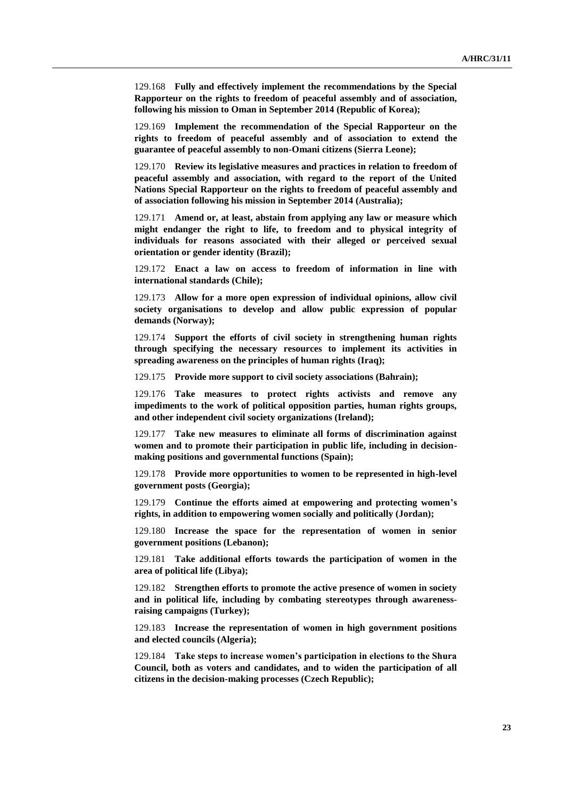129.168 **Fully and effectively implement the recommendations by the Special Rapporteur on the rights to freedom of peaceful assembly and of association, following his mission to Oman in September 2014 (Republic of Korea);**

129.169 **Implement the recommendation of the Special Rapporteur on the rights to freedom of peaceful assembly and of association to extend the guarantee of peaceful assembly to non-Omani citizens (Sierra Leone);**

129.170 **Review its legislative measures and practices in relation to freedom of peaceful assembly and association, with regard to the report of the United Nations Special Rapporteur on the rights to freedom of peaceful assembly and of association following his mission in September 2014 (Australia);**

129.171 **Amend or, at least, abstain from applying any law or measure which might endanger the right to life, to freedom and to physical integrity of individuals for reasons associated with their alleged or perceived sexual orientation or gender identity (Brazil);**

129.172 **Enact a law on access to freedom of information in line with international standards (Chile);**

129.173 **Allow for a more open expression of individual opinions, allow civil society organisations to develop and allow public expression of popular demands (Norway);**

129.174 **Support the efforts of civil society in strengthening human rights through specifying the necessary resources to implement its activities in spreading awareness on the principles of human rights (Iraq);**

129.175 **Provide more support to civil society associations (Bahrain);**

129.176 **Take measures to protect rights activists and remove any impediments to the work of political opposition parties, human rights groups, and other independent civil society organizations (Ireland);**

129.177 **Take new measures to eliminate all forms of discrimination against women and to promote their participation in public life, including in decisionmaking positions and governmental functions (Spain);**

129.178 **Provide more opportunities to women to be represented in high-level government posts (Georgia);**

129.179 **Continue the efforts aimed at empowering and protecting women's rights, in addition to empowering women socially and politically (Jordan);**

129.180 **Increase the space for the representation of women in senior government positions (Lebanon);**

129.181 **Take additional efforts towards the participation of women in the area of political life (Libya);**

129.182 **Strengthen efforts to promote the active presence of women in society and in political life, including by combating stereotypes through awarenessraising campaigns (Turkey);**

129.183 **Increase the representation of women in high government positions and elected councils (Algeria);**

129.184 **Take steps to increase women's participation in elections to the Shura Council, both as voters and candidates, and to widen the participation of all citizens in the decision-making processes (Czech Republic);**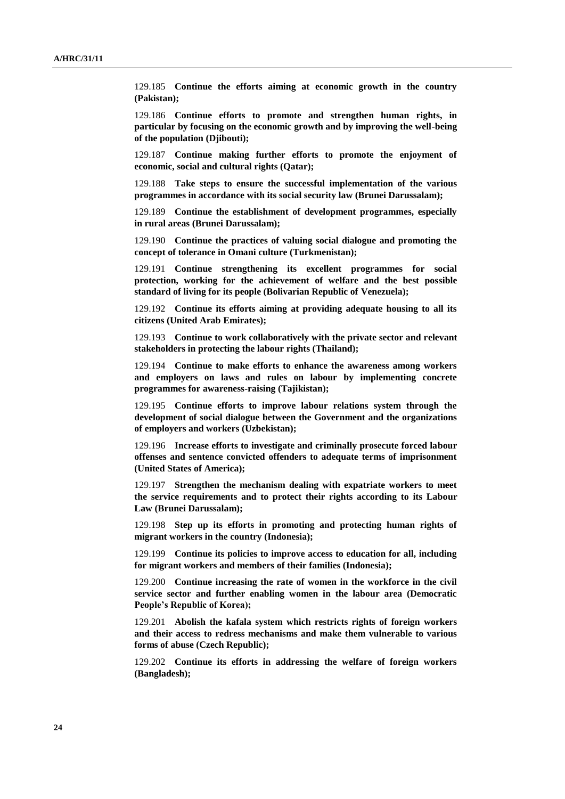129.185 **Continue the efforts aiming at economic growth in the country (Pakistan);**

129.186 **Continue efforts to promote and strengthen human rights, in particular by focusing on the economic growth and by improving the well-being of the population (Djibouti);**

129.187 **Continue making further efforts to promote the enjoyment of economic, social and cultural rights (Qatar);**

129.188 **Take steps to ensure the successful implementation of the various programmes in accordance with its social security law (Brunei Darussalam);**

129.189 **Continue the establishment of development programmes, especially in rural areas (Brunei Darussalam);**

129.190 **Continue the practices of valuing social dialogue and promoting the concept of tolerance in Omani culture (Turkmenistan);**

129.191 **Continue strengthening its excellent programmes for social protection, working for the achievement of welfare and the best possible standard of living for its people (Bolivarian Republic of Venezuela);**

129.192 **Continue its efforts aiming at providing adequate housing to all its citizens (United Arab Emirates);**

129.193 **Continue to work collaboratively with the private sector and relevant stakeholders in protecting the labour rights (Thailand);**

129.194 **Continue to make efforts to enhance the awareness among workers and employers on laws and rules on labour by implementing concrete programmes for awareness-raising (Tajikistan);**

129.195 **Continue efforts to improve labour relations system through the development of social dialogue between the Government and the organizations of employers and workers (Uzbekistan);**

129.196 **Increase efforts to investigate and criminally prosecute forced labour offenses and sentence convicted offenders to adequate terms of imprisonment (United States of America);**

129.197 **Strengthen the mechanism dealing with expatriate workers to meet the service requirements and to protect their rights according to its Labour Law (Brunei Darussalam);**

129.198 **Step up its efforts in promoting and protecting human rights of migrant workers in the country (Indonesia);**

129.199 **Continue its policies to improve access to education for all, including for migrant workers and members of their families (Indonesia);**

129.200 **Continue increasing the rate of women in the workforce in the civil service sector and further enabling women in the labour area (Democratic People's Republic of Korea);**

129.201 **Abolish the kafala system which restricts rights of foreign workers and their access to redress mechanisms and make them vulnerable to various forms of abuse (Czech Republic);**

129.202 **Continue its efforts in addressing the welfare of foreign workers (Bangladesh);**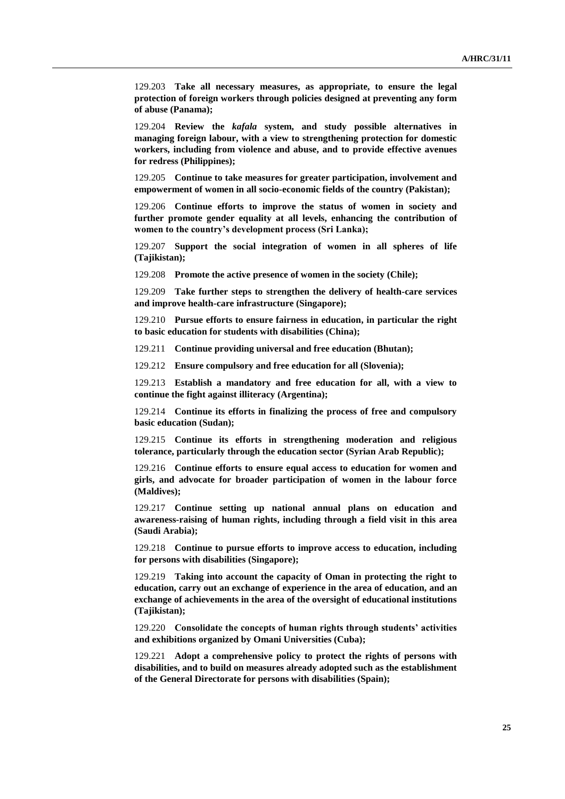129.203 **Take all necessary measures, as appropriate, to ensure the legal protection of foreign workers through policies designed at preventing any form of abuse (Panama);**

129.204 **Review the** *kafala* **system, and study possible alternatives in managing foreign labour, with a view to strengthening protection for domestic workers, including from violence and abuse, and to provide effective avenues for redress (Philippines);**

129.205 **Continue to take measures for greater participation, involvement and empowerment of women in all socio-economic fields of the country (Pakistan);**

129.206 **Continue efforts to improve the status of women in society and further promote gender equality at all levels, enhancing the contribution of women to the country's development process (Sri Lanka);**

129.207 **Support the social integration of women in all spheres of life (Tajikistan);**

129.208 **Promote the active presence of women in the society (Chile);**

129.209 **Take further steps to strengthen the delivery of health-care services and improve health-care infrastructure (Singapore);**

129.210 **Pursue efforts to ensure fairness in education, in particular the right to basic education for students with disabilities (China);**

129.211 **Continue providing universal and free education (Bhutan);**

129.212 **Ensure compulsory and free education for all (Slovenia);**

129.213 **Establish a mandatory and free education for all, with a view to continue the fight against illiteracy (Argentina);**

129.214 **Continue its efforts in finalizing the process of free and compulsory basic education (Sudan);**

129.215 **Continue its efforts in strengthening moderation and religious tolerance, particularly through the education sector (Syrian Arab Republic);**

129.216 **Continue efforts to ensure equal access to education for women and girls, and advocate for broader participation of women in the labour force (Maldives);**

129.217 **Continue setting up national annual plans on education and awareness-raising of human rights, including through a field visit in this area (Saudi Arabia);**

129.218 **Continue to pursue efforts to improve access to education, including for persons with disabilities (Singapore);**

129.219 **Taking into account the capacity of Oman in protecting the right to education, carry out an exchange of experience in the area of education, and an exchange of achievements in the area of the oversight of educational institutions (Tajikistan);**

129.220 **Consolidate the concepts of human rights through students' activities and exhibitions organized by Omani Universities (Cuba);**

129.221 **Adopt a comprehensive policy to protect the rights of persons with disabilities, and to build on measures already adopted such as the establishment of the General Directorate for persons with disabilities (Spain);**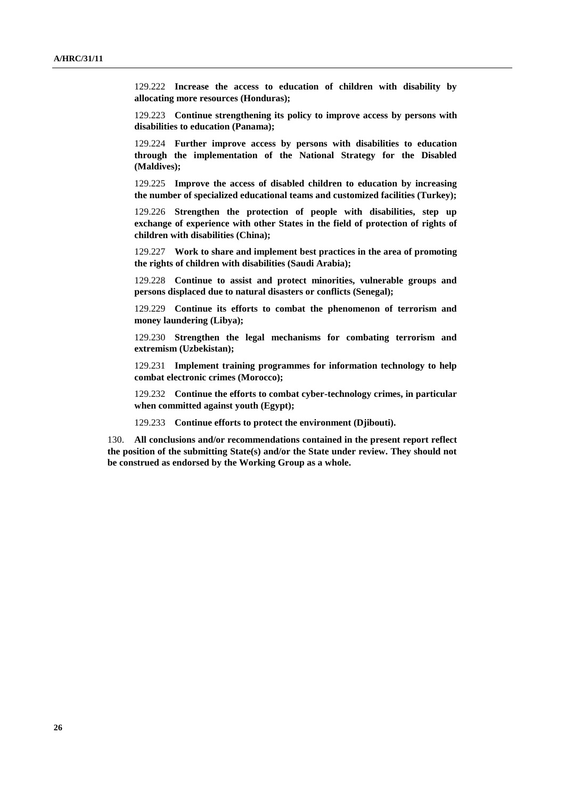129.222 **Increase the access to education of children with disability by allocating more resources (Honduras);**

129.223 **Continue strengthening its policy to improve access by persons with disabilities to education (Panama);**

129.224 **Further improve access by persons with disabilities to education through the implementation of the National Strategy for the Disabled (Maldives);**

129.225 **Improve the access of disabled children to education by increasing the number of specialized educational teams and customized facilities (Turkey);**

129.226 **Strengthen the protection of people with disabilities, step up exchange of experience with other States in the field of protection of rights of children with disabilities (China);**

129.227 **Work to share and implement best practices in the area of promoting the rights of children with disabilities (Saudi Arabia);**

129.228 **Continue to assist and protect minorities, vulnerable groups and persons displaced due to natural disasters or conflicts (Senegal);**

129.229 **Continue its efforts to combat the phenomenon of terrorism and money laundering (Libya);**

129.230 **Strengthen the legal mechanisms for combating terrorism and extremism (Uzbekistan);**

129.231 **Implement training programmes for information technology to help combat electronic crimes (Morocco);**

129.232 **Continue the efforts to combat cyber-technology crimes, in particular when committed against youth (Egypt);**

129.233 **Continue efforts to protect the environment (Djibouti).**

130. **All conclusions and/or recommendations contained in the present report reflect the position of the submitting State(s) and/or the State under review. They should not be construed as endorsed by the Working Group as a whole.**